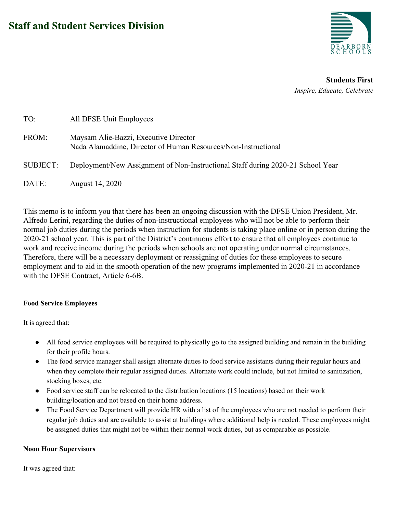

**Students First** *Inspire, Educate, Celebrate*

| TO:             | All DFSE Unit Employees                                                                                 |
|-----------------|---------------------------------------------------------------------------------------------------------|
| FROM:           | Maysam Alie-Bazzi, Executive Director<br>Nada Alamaddine, Director of Human Resources/Non-Instructional |
| <b>SUBJECT:</b> | Deployment/New Assignment of Non-Instructional Staff during 2020-21 School Year                         |
| DATE:           | August 14, 2020                                                                                         |

This memo is to inform you that there has been an ongoing discussion with the DFSE Union President, Mr. Alfredo Lerini, regarding the duties of non-instructional employees who will not be able to perform their normal job duties during the periods when instruction for students is taking place online or in person during the 2020-21 school year. This is part of the District's continuous effort to ensure that all employees continue to work and receive income during the periods when schools are not operating under normal circumstances. Therefore, there will be a necessary deployment or reassigning of duties for these employees to secure employment and to aid in the smooth operation of the new programs implemented in 2020-21 in accordance with the DFSE Contract, Article 6-6B.

### **Food Service Employees**

It is agreed that:

- All food service employees will be required to physically go to the assigned building and remain in the building for their profile hours.
- The food service manager shall assign alternate duties to food service assistants during their regular hours and when they complete their regular assigned duties. Alternate work could include, but not limited to sanitization, stocking boxes, etc.
- Food service staff can be relocated to the distribution locations (15 locations) based on their work building/location and not based on their home address.
- The Food Service Department will provide HR with a list of the employees who are not needed to perform their regular job duties and are available to assist at buildings where additional help is needed. These employees might be assigned duties that might not be within their normal work duties, but as comparable as possible.

#### **Noon Hour Supervisors**

It was agreed that: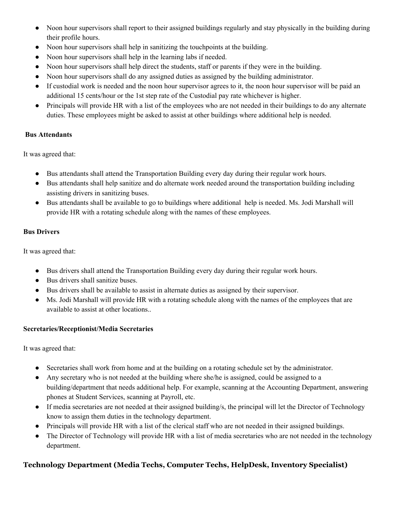- Noon hour supervisors shall report to their assigned buildings regularly and stay physically in the building during their profile hours.
- Noon hour supervisors shall help in sanitizing the touchpoints at the building.
- Noon hour supervisors shall help in the learning labs if needed.
- Noon hour supervisors shall help direct the students, staff or parents if they were in the building.
- Noon hour supervisors shall do any assigned duties as assigned by the building administrator.
- If custodial work is needed and the noon hour supervisor agrees to it, the noon hour supervisor will be paid an additional 15 cents/hour or the 1st step rate of the Custodial pay rate whichever is higher.
- Principals will provide HR with a list of the employees who are not needed in their buildings to do any alternate duties. These employees might be asked to assist at other buildings where additional help is needed.

#### **Bus Attendants**

It was agreed that:

- Bus attendants shall attend the Transportation Building every day during their regular work hours.
- Bus attendants shall help sanitize and do alternate work needed around the transportation building including assisting drivers in sanitizing buses.
- Bus attendants shall be available to go to buildings where additional help is needed. Ms. Jodi Marshall will provide HR with a rotating schedule along with the names of these employees.

### **Bus Drivers**

It was agreed that:

- Bus drivers shall attend the Transportation Building every day during their regular work hours.
- Bus drivers shall sanitize buses.
- Bus drivers shall be available to assist in alternate duties as assigned by their supervisor.
- Ms. Jodi Marshall will provide HR with a rotating schedule along with the names of the employees that are available to assist at other locations..

### **Secretaries/Receptionist/Media Secretaries**

It was agreed that:

- Secretaries shall work from home and at the building on a rotating schedule set by the administrator.
- Any secretary who is not needed at the building where she/he is assigned, could be assigned to a building/department that needs additional help. For example, scanning at the Accounting Department, answering phones at Student Services, scanning at Payroll, etc.
- If media secretaries are not needed at their assigned building/s, the principal will let the Director of Technology know to assign them duties in the technology department.
- Principals will provide HR with a list of the clerical staff who are not needed in their assigned buildings.
- The Director of Technology will provide HR with a list of media secretaries who are not needed in the technology department.

# **Technology Department (Media Techs, Computer Techs, HelpDesk, Inventory Specialist)**